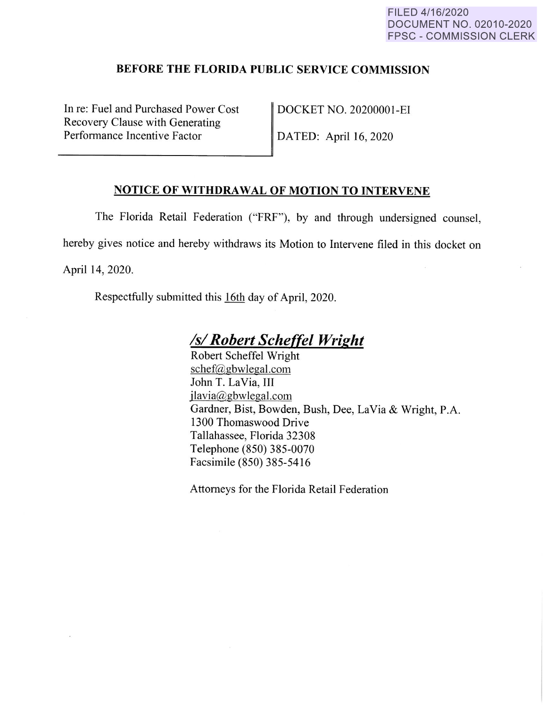### **BEFORE THE FLORIDA PUBLIC SERVICE COMMISSION**

In re: Fuel and Purchased Power Cost Recovery Clause with Generating Performance Incentive Factor

DOCKET NO. 20200001-EI

DATED: April 16, 2020

### **NOTICE OF WITHDRAWAL OF MOTION TO INTERVENE**

The Florida Retail Federation ("FRF"), by and through undersigned counsel, hereby gives notice and hereby withdraws its Motion to Intervene filed in this docket on April 14, 2020.

Respectfully submitted this 16th day of April, 2020.

# *Isl Robert Scheffel Wright*

Robert Scheffel Wright schef@gbwlegal.com John T. LaVia, III jlavia@gbwlegal.com Gardner, Bist, Bowden, Bush, Dee, La Via & Wright, P.A. 1300 Thomaswood Drive Tallahassee, Florida 32308 Telephone (850) 385-0070 Facsimile (850) 385-5416

Attorneys for the Florida Retail Federation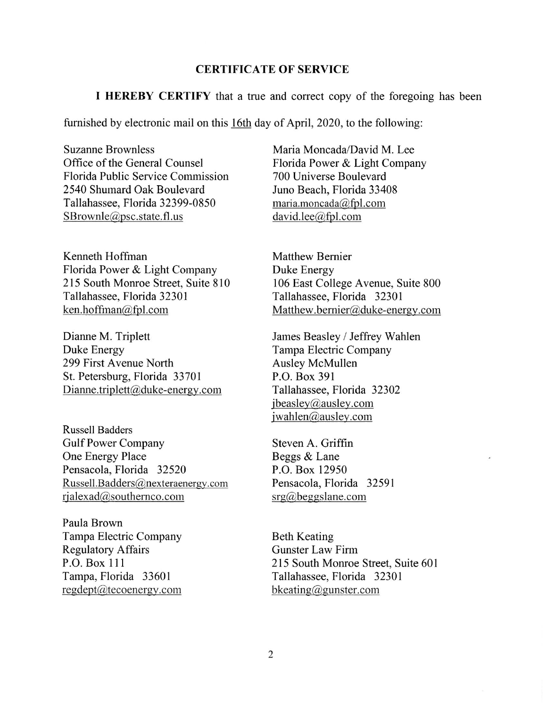#### **CERTIFICATE OF SERVICE**

**I HEREBY CERTIFY** that a true and correct copy of the foregoing has been

furnished by electronic mail on this 16th day of April, 2020, to the following:

Suzanne Brownless Office of the General Counsel Florida Public Service Commission 2540 Shumard Oak Boulevard Tallahassee, Florida 32399-0850 SBrownle@psc.state.fl.us

Kenneth Hoffman Florida Power & Light Company 215 South Monroe Street, Suite 810 Tallahassee, Florida 32301 ken.hoffman@fpl.com

Dianne M. Triplett Duke Energy 299 First Avenue North St. Petersburg, Florida 33701 Dianne.triplett@duke-energy.com

Russell Badders Gulf Power Company One Energy Place Pensacola, Florida 32520 Russell.Badders@nexteraenergy.com rjalexad@southernco.com

Paula Brown Tampa Electric Company Regulatory Affairs P.O. Box **111**  Tampa, Florida 33601 regdept@tecoenergy.com

Maria Moncada/David M. Lee Florida Power & Light Company 700 Universe Boulevard Juno Beach, Florida 33408 maria.moncada@fpl.com david.lee@fpl.com

Matthew Bernier Duke Energy 106 East College Avenue, Suite 800 Tallahassee, Florida 32301 Matthew. bernier@duke-energy.com

James Beasley / Jeffrey Wahlen Tampa Electric Company Ausley McMullen P.O. Box 391 Tallahassee, Florida 32302 jbeasley@ausley.com jwahlen@ausley.com

Steven A. Griffin Beggs & Lane P.O. Box 12950 Pensacola, Florida 32591 srg@beggslane.com

Beth Keating Gunster Law Finn 215 South Monroe Street, Suite 601 Tallahassee, Florida 32301 bkeating@gunster.com